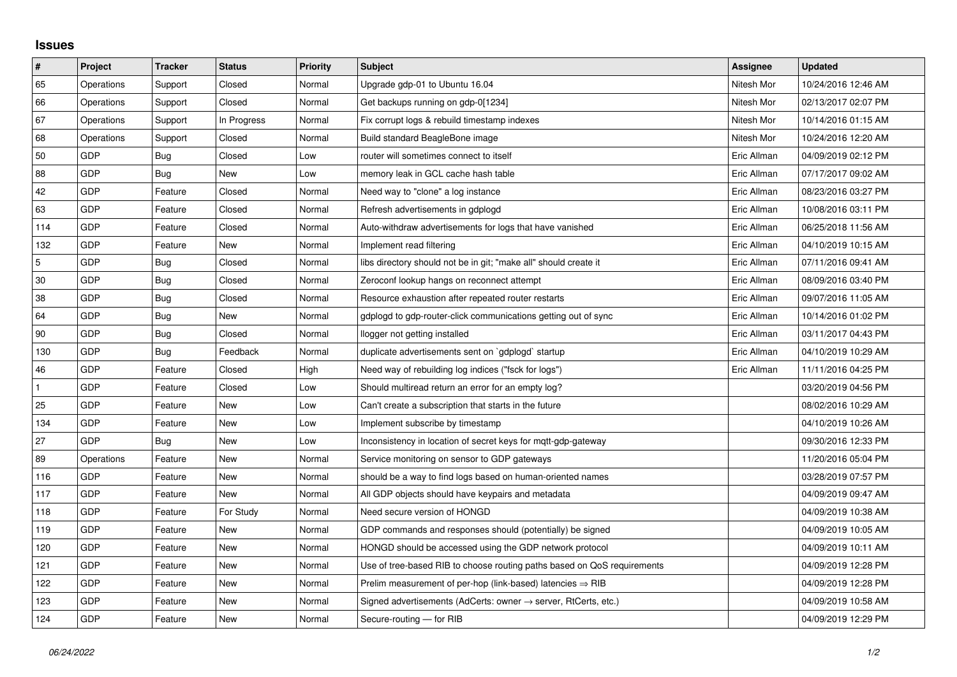## **Issues**

| $\vert$ #    | Project    | <b>Tracker</b> | <b>Status</b> | <b>Priority</b> | <b>Subject</b>                                                             | Assignee    | <b>Updated</b>      |
|--------------|------------|----------------|---------------|-----------------|----------------------------------------------------------------------------|-------------|---------------------|
| 65           | Operations | Support        | Closed        | Normal          | Upgrade gdp-01 to Ubuntu 16.04                                             | Nitesh Mor  | 10/24/2016 12:46 AM |
| 66           | Operations | Support        | Closed        | Normal          | Get backups running on gdp-0[1234]                                         | Nitesh Mor  | 02/13/2017 02:07 PM |
| 67           | Operations | Support        | In Progress   | Normal          | Fix corrupt logs & rebuild timestamp indexes                               | Nitesh Mor  | 10/14/2016 01:15 AM |
| 68           | Operations | Support        | Closed        | Normal          | Build standard BeagleBone image                                            | Nitesh Mor  | 10/24/2016 12:20 AM |
| 50           | GDP        | Bug            | Closed        | Low             | router will sometimes connect to itself                                    | Eric Allman | 04/09/2019 02:12 PM |
| 88           | <b>GDP</b> | Bug            | New           | Low             | memory leak in GCL cache hash table                                        | Eric Allman | 07/17/2017 09:02 AM |
| 42           | <b>GDP</b> | Feature        | Closed        | Normal          | Need way to "clone" a log instance                                         | Eric Allman | 08/23/2016 03:27 PM |
| 63           | <b>GDP</b> | Feature        | Closed        | Normal          | Refresh advertisements in gdplogd                                          | Eric Allman | 10/08/2016 03:11 PM |
| 114          | <b>GDP</b> | Feature        | Closed        | Normal          | Auto-withdraw advertisements for logs that have vanished                   | Eric Allman | 06/25/2018 11:56 AM |
| 132          | <b>GDP</b> | Feature        | New           | Normal          | Implement read filtering                                                   | Eric Allman | 04/10/2019 10:15 AM |
| 5            | GDP        | Bug            | Closed        | Normal          | libs directory should not be in git; "make all" should create it           | Eric Allman | 07/11/2016 09:41 AM |
| 30           | <b>GDP</b> | Bug            | Closed        | Normal          | Zeroconf lookup hangs on reconnect attempt                                 | Eric Allman | 08/09/2016 03:40 PM |
| 38           | <b>GDP</b> | Bug            | Closed        | Normal          | Resource exhaustion after repeated router restarts                         | Eric Allman | 09/07/2016 11:05 AM |
| 64           | <b>GDP</b> | Bug            | New           | Normal          | gdplogd to gdp-router-click communications getting out of sync             | Eric Allman | 10/14/2016 01:02 PM |
| 90           | <b>GDP</b> | Bug            | Closed        | Normal          | llogger not getting installed                                              | Eric Allman | 03/11/2017 04:43 PM |
| 130          | <b>GDP</b> | Bug            | Feedback      | Normal          | duplicate advertisements sent on `gdplogd` startup                         | Eric Allman | 04/10/2019 10:29 AM |
| 46           | <b>GDP</b> | Feature        | Closed        | High            | Need way of rebuilding log indices ("fsck for logs")                       | Eric Allman | 11/11/2016 04:25 PM |
| $\mathbf{1}$ | <b>GDP</b> | Feature        | Closed        | Low             | Should multiread return an error for an empty log?                         |             | 03/20/2019 04:56 PM |
| 25           | <b>GDP</b> | Feature        | New           | Low             | Can't create a subscription that starts in the future                      |             | 08/02/2016 10:29 AM |
| 134          | <b>GDP</b> | Feature        | New           | Low             | Implement subscribe by timestamp                                           |             | 04/10/2019 10:26 AM |
| 27           | <b>GDP</b> | Bug            | New           | Low             | Inconsistency in location of secret keys for mgtt-gdp-gateway              |             | 09/30/2016 12:33 PM |
| 89           | Operations | Feature        | New           | Normal          | Service monitoring on sensor to GDP gateways                               |             | 11/20/2016 05:04 PM |
| 116          | <b>GDP</b> | Feature        | New           | Normal          | should be a way to find logs based on human-oriented names                 |             | 03/28/2019 07:57 PM |
| 117          | <b>GDP</b> | Feature        | <b>New</b>    | Normal          | All GDP objects should have keypairs and metadata                          |             | 04/09/2019 09:47 AM |
| 118          | <b>GDP</b> | Feature        | For Study     | Normal          | Need secure version of HONGD                                               |             | 04/09/2019 10:38 AM |
| 119          | <b>GDP</b> | Feature        | <b>New</b>    | Normal          | GDP commands and responses should (potentially) be signed                  |             | 04/09/2019 10:05 AM |
| 120          | <b>GDP</b> | Feature        | New           | Normal          | HONGD should be accessed using the GDP network protocol                    |             | 04/09/2019 10:11 AM |
| 121          | <b>GDP</b> | Feature        | <b>New</b>    | Normal          | Use of tree-based RIB to choose routing paths based on QoS requirements    |             | 04/09/2019 12:28 PM |
| 122          | GDP        | Feature        | New           | Normal          | Prelim measurement of per-hop (link-based) latencies $\Rightarrow$ RIB     |             | 04/09/2019 12:28 PM |
| 123          | <b>GDP</b> | Feature        | New           | Normal          | Signed advertisements (AdCerts: owner $\rightarrow$ server, RtCerts, etc.) |             | 04/09/2019 10:58 AM |
| 124          | <b>GDP</b> | Feature        | New           | Normal          | Secure-routing - for RIB                                                   |             | 04/09/2019 12:29 PM |